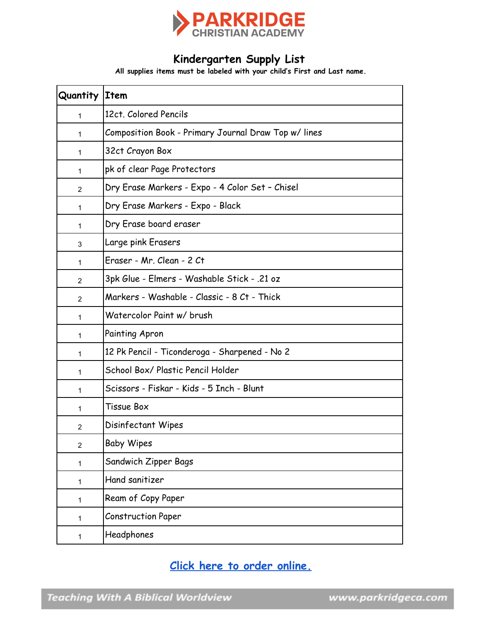

#### **Kindergarten Supply List**

**All supplies items must be labeled with your child's First and Last name.**

| <b>Quantity Item</b> |                                                     |
|----------------------|-----------------------------------------------------|
| 1                    | 12ct. Colored Pencils                               |
| 1                    | Composition Book - Primary Journal Draw Top w/lines |
| 1                    | 32ct Crayon Box                                     |
| 1                    | pk of clear Page Protectors                         |
| 2                    | Dry Erase Markers - Expo - 4 Color Set - Chisel     |
| 1                    | Dry Erase Markers - Expo - Black                    |
| 1                    | Dry Erase board eraser                              |
| 3                    | Large pink Erasers                                  |
| 1                    | Eraser - Mr. Clean - 2 Ct                           |
| 2                    | 3pk Glue - Elmers - Washable Stick - .21 oz         |
| 2                    | Markers - Washable - Classic - 8 Ct - Thick         |
| 1                    | Watercolor Paint w/ brush                           |
| 1                    | <b>Painting Apron</b>                               |
| 1                    | 12 Pk Pencil - Ticonderoga - Sharpened - No 2       |
| 1                    | School Box/ Plastic Pencil Holder                   |
| 1                    | Scissors - Fiskar - Kids - 5 Inch - Blunt           |
| 1                    | Tissue Box                                          |
| $\overline{2}$       | Disinfectant Wipes                                  |
| $\overline{2}$       | <b>Baby Wipes</b>                                   |
| 1                    | Sandwich Zipper Bags                                |
| 1                    | Hand sanitizer                                      |
| 1                    | Ream of Copy Paper                                  |
| 1                    | <b>Construction Paper</b>                           |
| 1                    | Headphones                                          |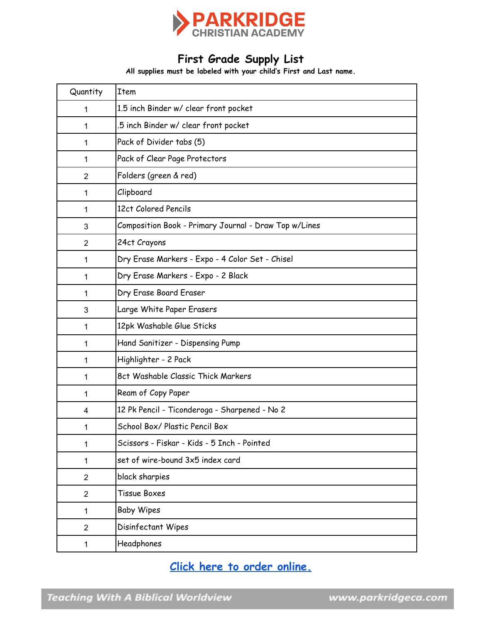

# **First Grade Supply List**

**All supplies must be labeled with your child's First and Last name.**

| Quantity       | Item                                                  |
|----------------|-------------------------------------------------------|
| 1              | 1.5 inch Binder w/ clear front pocket                 |
| 1              | 5 inch Binder w/ clear front pocket.                  |
| 1              | Pack of Divider tabs (5)                              |
| 1              | Pack of Clear Page Protectors                         |
| $\overline{2}$ | Folders (green & red)                                 |
| 1              | Clipboard                                             |
| 1              | 12ct Colored Pencils                                  |
| 3              | Composition Book - Primary Journal - Draw Top w/Lines |
| $\overline{2}$ | 24ct Crayons                                          |
| 1              | Dry Erase Markers - Expo - 4 Color Set - Chisel       |
| 1              | Dry Erase Markers - Expo - 2 Black                    |
| 1              | Dry Erase Board Eraser                                |
| 3              | Large White Paper Erasers                             |
| 1              | 12pk Washable Glue Sticks                             |
| 1              | Hand Sanitizer - Dispensing Pump                      |
| 1              | Highlighter - 2 Pack                                  |
| 1              | 8ct Washable Classic Thick Markers                    |
| 1              | Ream of Copy Paper                                    |
| 4              | 12 Pk Pencil - Ticonderoga - Sharpened - No 2         |
| 1              | School Box/ Plastic Pencil Box                        |
| 1              | Scissors - Fiskar - Kids - 5 Inch - Pointed           |
| 1              | set of wire-bound 3x5 index card                      |
| $\overline{2}$ | black sharpies                                        |
| $\overline{2}$ | Tissue Boxes                                          |
| 1              | <b>Baby Wipes</b>                                     |
| $\overline{2}$ | Disinfectant Wipes                                    |
| $\mathbf 1$    | Headphones                                            |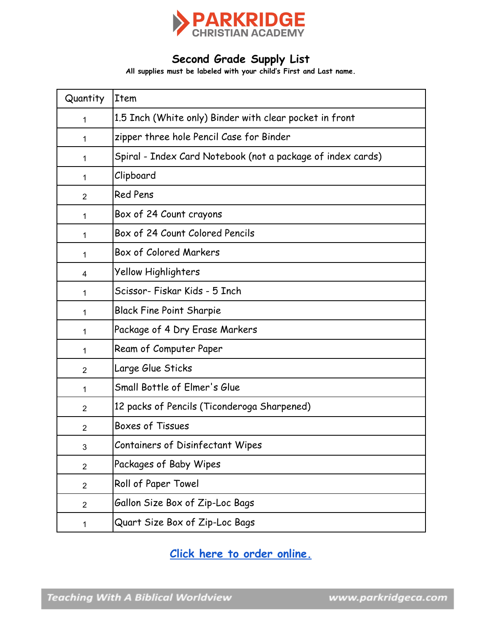

## **Second Grade Supply List**

**All supplies must be labeled with your child's First and Last name.**

| Quantity       | <b>Item</b>                                                 |
|----------------|-------------------------------------------------------------|
| $\mathbf{1}$   | 1.5 Inch (White only) Binder with clear pocket in front     |
| 1              | zipper three hole Pencil Case for Binder                    |
| 1              | Spiral - Index Card Notebook (not a package of index cards) |
| 1              | Clipboard                                                   |
| $\overline{2}$ | <b>Red Pens</b>                                             |
| $\mathbf{1}$   | Box of 24 Count crayons                                     |
| 1              | Box of 24 Count Colored Pencils                             |
| 1              | Box of Colored Markers                                      |
| 4              | Yellow Highlighters                                         |
| 1              | Scissor- Fiskar Kids - 5 Inch                               |
| 1              | <b>Black Fine Point Sharpie</b>                             |
| 1              | Package of 4 Dry Erase Markers                              |
| 1              | Ream of Computer Paper                                      |
| $\overline{2}$ | Large Glue Sticks                                           |
| 1              | Small Bottle of Elmer's Glue                                |
| $\overline{2}$ | 12 packs of Pencils (Ticonderoga Sharpened)                 |
| $\overline{2}$ | <b>Boxes of Tissues</b>                                     |
| 3              | Containers of Disinfectant Wipes                            |
| $\overline{2}$ | Packages of Baby Wipes                                      |
| $\overline{2}$ | Roll of Paper Towel                                         |
| $\overline{2}$ | Gallon Size Box of Zip-Loc Bags                             |
| 1              | Quart Size Box of Zip-Loc Bags                              |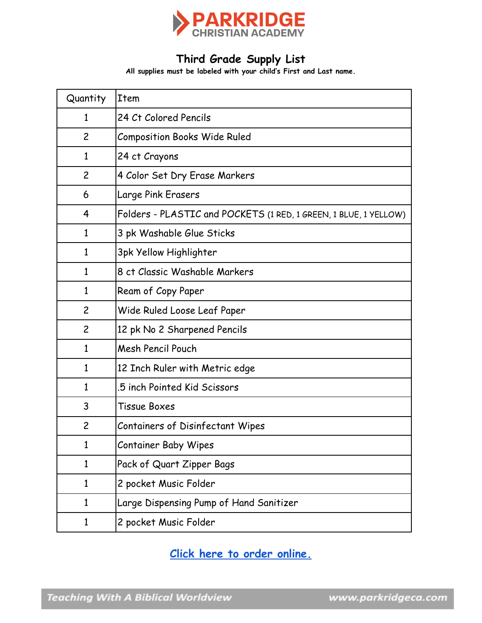

# **Third Grade Supply List**

**All supplies must be labeled with your child's First and Last name.**

| Quantity       | Item                                                             |
|----------------|------------------------------------------------------------------|
| 1              | 24 Ct Colored Pencils                                            |
| $\overline{c}$ | <b>Composition Books Wide Ruled</b>                              |
| 1              | 24 ct Crayons                                                    |
| $\overline{c}$ | 4 Color Set Dry Erase Markers                                    |
| 6              | Large Pink Erasers                                               |
| 4              | Folders - PLASTIC and POCKETS (1 RED, 1 GREEN, 1 BLUE, 1 YELLOW) |
| 1              | 3 pk Washable Glue Sticks                                        |
| $\mathbf{1}$   | 3pk Yellow Highlighter                                           |
| $\mathbf{1}$   | 8 ct Classic Washable Markers                                    |
| $\mathbf{1}$   | Ream of Copy Paper                                               |
| $\overline{c}$ | Wide Ruled Loose Leaf Paper                                      |
| $\overline{c}$ | 12 pk No 2 Sharpened Pencils                                     |
| $\mathbf{1}$   | Mesh Pencil Pouch                                                |
| 1              | 12 Inch Ruler with Metric edge                                   |
| $\mathbf{1}$   | .5 inch Pointed Kid Scissors                                     |
| 3              | Tissue Boxes                                                     |
| $\overline{c}$ | <b>Containers of Disinfectant Wipes</b>                          |
| 1              | <b>Container Baby Wipes</b>                                      |
| 1              | Pack of Quart Zipper Bags                                        |
| $\mathbf{1}$   | 2 pocket Music Folder                                            |
| $\mathbf{1}$   | Large Dispensing Pump of Hand Sanitizer                          |
| $\mathbf{1}$   | 2 pocket Music Folder                                            |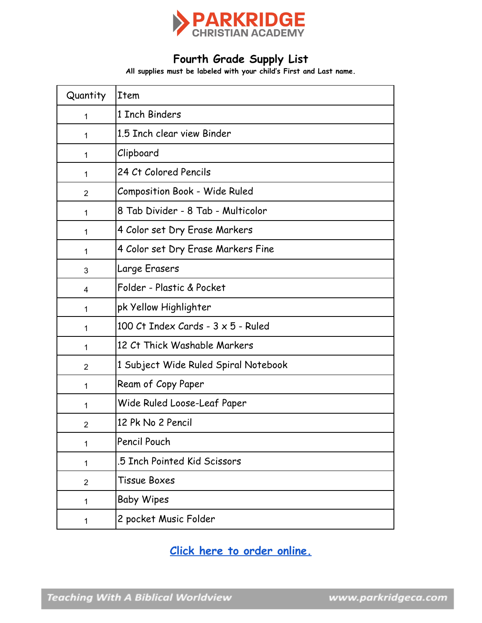

# **Fourth Grade Supply List**

**All supplies must be labeled with your child's First and Last name.**

| Quantity       | Item                                        |
|----------------|---------------------------------------------|
| $\mathbf 1$    | 1 Inch Binders                              |
| $\mathbf 1$    | 1.5 Inch clear view Binder                  |
| $\mathbf 1$    | Clipboard                                   |
| $\mathbf 1$    | 24 Ct Colored Pencils                       |
| $\overline{2}$ | <b>Composition Book - Wide Ruled</b>        |
| $\mathbf{1}$   | 8 Tab Divider - 8 Tab - Multicolor          |
| $\mathbf 1$    | 4 Color set Dry Erase Markers               |
| 1              | 4 Color set Dry Erase Markers Fine          |
| 3              | Large Erasers                               |
| 4              | Folder - Plastic & Pocket                   |
| 1              | pk Yellow Highlighter                       |
| 1              | 100 $Ct$ Index Cards - $3 \times 5$ - Ruled |
| $\mathbf{1}$   | 12 Ct Thick Washable Markers                |
| $\overline{2}$ | 1 Subject Wide Ruled Spiral Notebook        |
| $\mathbf 1$    | Ream of Copy Paper                          |
| 1              | Wide Ruled Loose-Leaf Paper                 |
| $\overline{2}$ | 12 Pk No 2 Pencil                           |
| 1              | Pencil Pouch                                |
| 1              | .5 Inch Pointed Kid Scissors                |
| $\overline{2}$ | Tissue Boxes                                |
| 1              | <b>Baby Wipes</b>                           |
| 1              | 2 pocket Music Folder                       |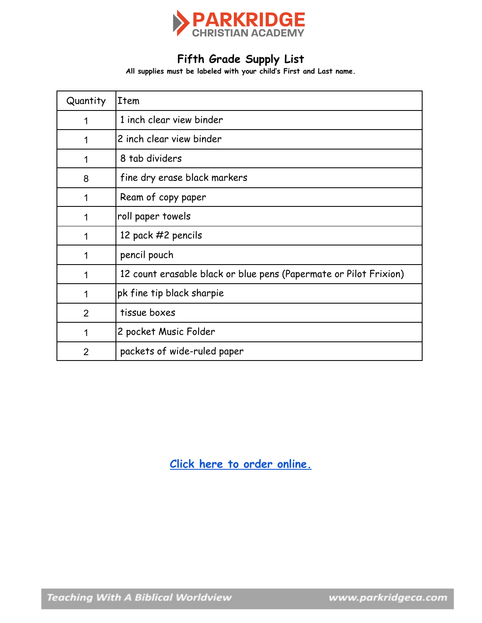

# **Fifth Grade Supply List**

**All supplies must be labeled with your child's First and Last name.**

| Quantity       | Item                                                              |
|----------------|-------------------------------------------------------------------|
| 1              | 1 inch clear view binder                                          |
| 1              | 2 inch clear view binder                                          |
| 1              | 8 tab dividers                                                    |
| 8              | fine dry erase black markers                                      |
| 1              | Ream of copy paper                                                |
| 1              | roll paper towels                                                 |
| 1              | 12 pack #2 pencils                                                |
| 1              | pencil pouch                                                      |
| 1              | 12 count erasable black or blue pens (Papermate or Pilot Frixion) |
| 1              | pk fine tip black sharpie                                         |
| 2              | tissue boxes                                                      |
| 1              | 2 pocket Music Folder                                             |
| $\overline{2}$ | packets of wide-ruled paper                                       |